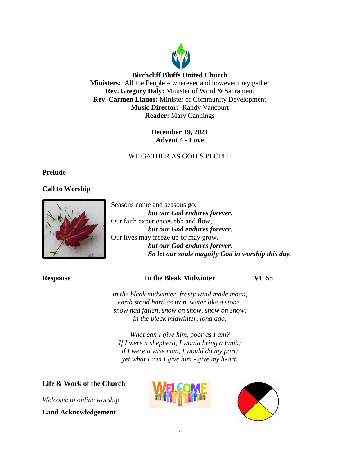

## **Birchcliff Bluffs United Church**

**Ministers:** All the People – wherever and however they gather **Rev. Gregory Daly:** Minister of Word & Sacrament **Rev. Carmen Llanos:** Minister of Community Development **Music Director:** Randy Vancourt **Reader:** Mary Cannings

# **December 19, 2021 Advent 4 - Love**

# WE GATHER AS GOD'S PEOPLE

## **Prelude**

# **Call to Worship**



Seasons come and seasons go, *but our God endures forever.* Our faith experiences ebb and flow, *but our God endures forever.* Our lives may freeze up or may grow, *but our God endures forever. So let our souls magnify God in worship this day.*

## **Response In the Bleak Midwinter VU 55**

*In the bleak midwinter, frosty wind made moan, earth stood hard as iron, water like a stone; snow had fallen, snow on snow, snow on snow, in the bleak midwinter, long ago.*

*What can I give him, poor as I am? If I were a shepherd, I would bring a lamb; if I were a wise man, I would do my part; yet what I can I give him - give my heart.*

## **Life & Work of the Church**

*Welcome to online worship*

### **Land Acknowledgement**



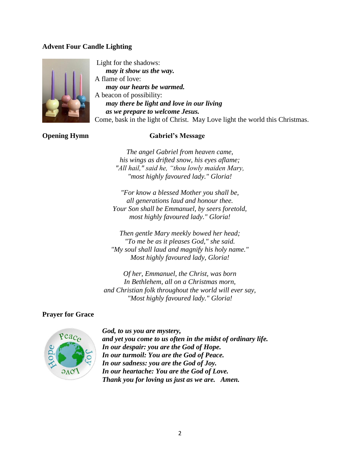## **Advent Four Candle Lighting**



Light for the shadows: *may it show us the way.* A flame of love: *may our hearts be warmed.* A beacon of possibility: *may there be light and love in our living as we prepare to welcome Jesus.* Come, bask in the light of Christ. May Love light the world this Christmas.

# **Opening Hymn** Gabriel's Message

*The angel Gabriel from heaven came, his wings as drifted snow, his eyes aflame; "All hail," said he, "thou lowly maiden Mary, "most highly favoured lady." Gloria!*

*"For know a blessed Mother you shall be, all generations laud and honour thee. Your Son shall be Emmanuel, by seers foretold, most highly favoured lady." Gloria!*

*Then gentle Mary meekly bowed her head; "To me be as it pleases God," she said. "My soul shall laud and magnify his holy name." Most highly favoured lady, Gloria!*

*Of her, Emmanuel, the Christ, was born In Bethlehem, all on a Christmas morn, and Christian folk throughout the world will ever say, "Most highly favoured lady." Gloria!*

## **Prayer for Grace**



*God, to us you are mystery, and yet you come to us often in the midst of ordinary life. In our despair: you are the God of Hope. In our turmoil: You are the God of Peace. In our sadness: you are the God of Joy. In our heartache: You are the God of Love. Thank you for loving us just as we are. Amen.*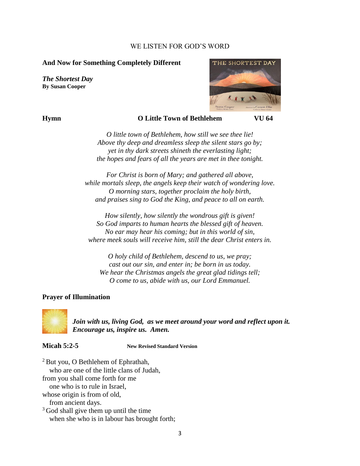### WE LISTEN FOR GOD'S WORD

### **And Now for Something Completely Different**

*The Shortest Day* **By Susan Cooper**



### **Hymn O Little Town of Bethlehem VU 64**

*O little town of Bethlehem, how still we see thee lie! Above thy deep and dreamless sleep the silent stars go by; yet in thy dark streets shineth the everlasting light; the hopes and fears of all the years are met in thee tonight.*

*For Christ is born of Mary; and gathered all above, while mortals sleep, the angels keep their watch of wondering love. O morning stars, together proclaim the holy birth, and praises sing to God the King, and peace to all on earth.*

*How silently, how silently the wondrous gift is given! So God imparts to human hearts the blessed gift of heaven. No ear may hear his coming; but in this world of sin, where meek souls will receive him, still the dear Christ enters in.*

*O holy child of Bethlehem, descend to us, we pray; cast out our sin, and enter in; be born in us today. We hear the Christmas angels the great glad tidings tell; O come to us, abide with us, our Lord Emmanuel.*

## **Prayer of Illumination**



*Join with us, living God, as we meet around your word and reflect upon it. Encourage us, inspire us. Amen.*

**Micah 5:2-5 New Revised Standard Version**

 $2$  But you, O Bethlehem of Ephrathah, who are one of the little clans of Judah, from you shall come forth for me

one who is to rule in Israel,

whose origin is from of old,

from ancient days.

<sup>3</sup> God shall give them up until the time when she who is in labour has brought forth;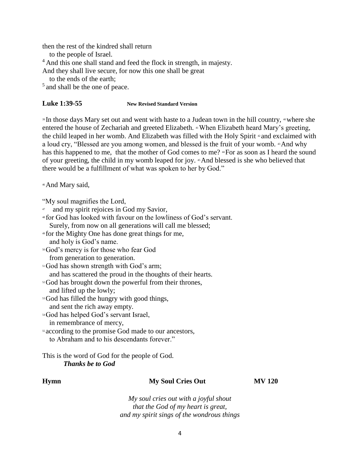then the rest of the kindred shall return

to the people of Israel.

<sup>4</sup> And this one shall stand and feed the flock in strength, in majesty.

And they shall live secure, for now this one shall be great

to the ends of the earth;

<sup>5</sup> and shall be the one of peace.

### **Luke 1:39-55 New Revised Standard Version**

<sup>39</sup> In those days Mary set out and went with haste to a Judean town in the hill country, <sup>40</sup>where she entered the house of Zechariah and greeted Elizabeth. 41 When Elizabeth heard Mary's greeting, the child leaped in her womb. And Elizabeth was filled with the Holy Spirit <sup>42</sup> and exclaimed with a loud cry, "Blessed are you among women, and blessed is the fruit of your womb. 43And why has this happened to me, that the mother of God comes to me? "For as soon as I heard the sound of your greeting, the child in my womb leaped for joy. 45And blessed is she who believed that there would be a fulfillment of what was spoken to her by God."

<sup>46</sup>And Mary said,

"My soul magnifies the Lord,

- 47 and my spirit rejoices in God my Savior,
- <sup>48</sup> for God has looked with favour on the lowliness of God's servant. Surely, from now on all generations will call me blessed;
- <sup>49</sup> for the Mighty One has done great things for me,

and holy is God's name.

<sup>50</sup>God's mercy is for those who fear God

from generation to generation.

<sup>51</sup>God has shown strength with God's arm;

and has scattered the proud in the thoughts of their hearts.

<sup>52</sup>God has brought down the powerful from their thrones,

and lifted up the lowly;

<sup>53</sup>God has filled the hungry with good things, and sent the rich away empty.

<sup>54</sup>God has helped God's servant Israel, in remembrance of mercy,

<sup>55</sup> according to the promise God made to our ancestors, to Abraham and to his descendants forever."

# This is the word of God for the people of God. *Thanks be to God*

### **Hymn My Soul Cries Out MV 120**

*My soul cries out with a joyful shout that the God of my heart is great, and my spirit sings of the wondrous things*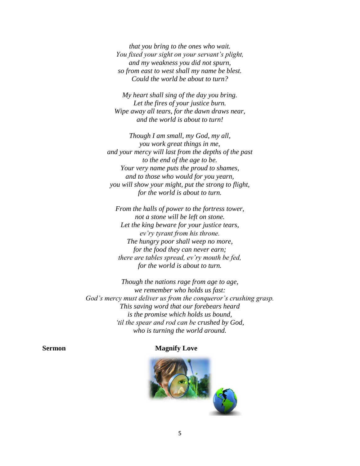*that you bring to the ones who wait. You fixed your sight on your servant's plight, and my weakness you did not spurn, so from east to west shall my name be blest. Could the world be about to turn?*

*My heart shall sing of the day you bring. Let the fires of your justice burn. Wipe away all tears, for the dawn draws near, and the world is about to turn!*

*Though I am small, my God, my all, you work great things in me, and your mercy will last from the depths of the past to the end of the age to be. Your very name puts the proud to shames, and to those who would for you yearn, you will show your might, put the strong to flight, for the world is about to turn.*

*From the halls of power to the fortress tower, not a stone will be left on stone. Let the king beware for your justice tears, ev'ry tyrant from his throne. The hungry poor shall weep no more, for the food they can never earn; there are tables spread, ev'ry mouth be fed, for the world is about to turn.*

*Though the nations rage from age to age, we remember who holds us fast: God's mercy must deliver us from the conqueror's crushing grasp. This saving word that our forebears heard is the promise which holds us bound, 'til the spear and rod can be crushed by God, who is turning the world around.*

### **Sermon** Magnify Love

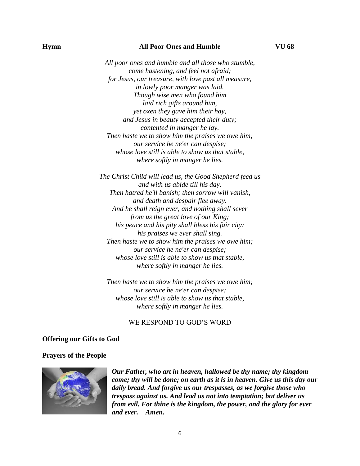### **Hymn All Poor Ones and Humble VU 68**

*All poor ones and humble and all those who stumble, come hastening, and feel not afraid; for Jesus, our treasure, with love past all measure, in lowly poor manger was laid. Though wise men who found him laid rich gifts around him, yet oxen they gave him their hay, and Jesus in beauty accepted their duty; contented in manger he lay. Then haste we to show him the praises we owe him; our service he ne'er can despise; whose love still is able to show us that stable, where softly in manger he lies.*

*The Christ Child will lead us, the Good Shepherd feed us and with us abide till his day. Then hatred he'll banish; then sorrow will vanish, and death and despair flee away. And he shall reign ever, and nothing shall sever from us the great love of our King; his peace and his pity shall bless his fair city; his praises we ever shall sing. Then haste we to show him the praises we owe him; our service he ne'er can despise; whose love still is able to show us that stable, where softly in manger he lies.*

*Then haste we to show him the praises we owe him; our service he ne'er can despise; whose love still is able to show us that stable, where softly in manger he lies.*

### WE RESPOND TO GOD'S WORD

### **Offering our Gifts to God**

### **Prayers of the People**



*Our Father, who art in heaven, hallowed be thy name; thy kingdom come; thy will be done; on earth as it is in heaven. Give us this day our daily bread. And forgive us our trespasses, as we forgive those who trespass against us. And lead us not into temptation; but deliver us from evil. For thine is the kingdom, the power, and the glory for ever and ever. Amen.*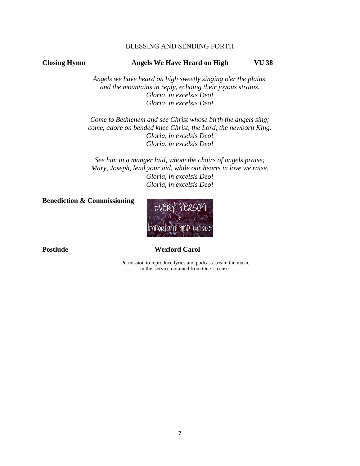## BLESSING AND SENDING FORTH

## **Closing Hymn Angels We Have Heard on High VU 38**

*Angels we have heard on high sweetly singing o'er the plains, and the mountains in reply, echoing their joyous strains. Gloria, in excelsis Deo! Gloria, in excelsis Deo!*

*Come to Bethlehem and see Christ whose birth the angels sing; come, adore on bended knee Christ, the Lord, the newborn King. Gloria, in excelsis Deo! Gloria, in excelsis Deo!*

*See him in a manger laid, whom the choirs of angels praise; Mary, Joseph, lend your aid, while our hearts in love we raise. Gloria, in excelsis Deo! Gloria, in excelsis Deo!*

**Benediction & Commissioning**



# Postlude Wexford Carol

Permission to reproduce lyrics and podcast/stream the music in this service obtained from One License.